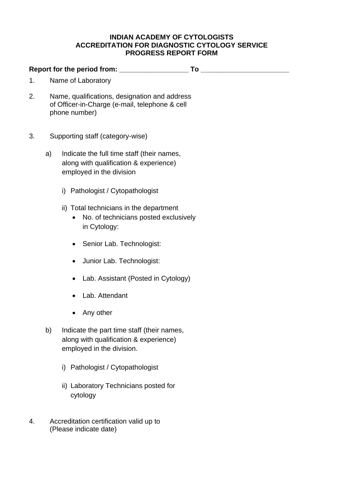## **INDIAN ACADEMY OF CYTOLOGISTS ACCREDITATION FOR DIAGNOSTIC CYTOLOGY SERVICE PROGRESS REPORT FORM**

**Report for the period from: \_\_\_\_\_\_\_\_\_\_\_\_\_\_\_\_\_\_ To \_\_\_\_\_\_\_\_\_\_\_\_\_\_\_\_\_\_\_\_\_\_\_** 

- 1. Name of Laboratory
- 2. Name, qualifications, designation and address of Officer-in-Charge (e-mail, telephone & cell phone number)
- 3. Supporting staff (category-wise)
	- a) Indicate the full time staff (their names, along with qualification & experience) employed in the division
		- i) Pathologist / Cytopathologist
		- ii) Total technicians in the department
			- No. of technicians posted exclusively in Cytology:
			- Senior Lab. Technologist:
			- Junior Lab. Technologist:
			- Lab. Assistant (Posted in Cytology)
			- Lab. Attendant
			- Any other
	- b) Indicate the part time staff (their names, along with qualification & experience) employed in the division.
		- i) Pathologist / Cytopathologist
		- ii) Laboratory Technicians posted for cytology
- 4. Accreditation certification valid up to (Please indicate date)